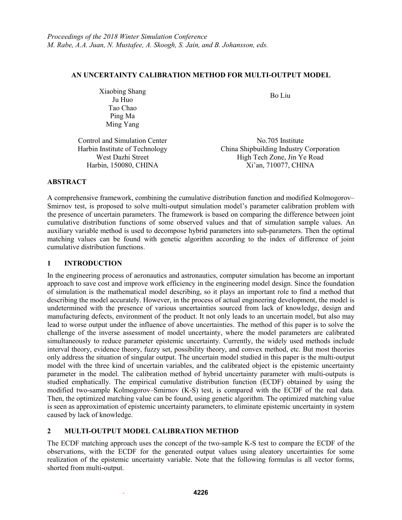### **AN UNCERTAINTY CALIBRATION METHOD FOR MULTI-OUTPUT MODEL**

Xiaobing Shang bing Shang<br>Ju Huo Bo Liu Tao Chao Ping Ma Ming Yang

Control and Simulation Center No.705 Institute

Harbin Institute of Technology China Shipbuilding Industry Corporation West Dazhi Street High Tech Zone, Jin Ye Road Harbin, 150080, CHINA Xi'an, 710077, CHINA

## **ABSTRACT**

A comprehensive framework, combining the cumulative distribution function and modified Kolmogorov– Smirnov test, is proposed to solve multi-output simulation model's parameter calibration problem with the presence of uncertain parameters. The framework is based on comparing the difference between joint cumulative distribution functions of some observed values and that of simulation sample values. An auxiliary variable method is used to decompose hybrid parameters into sub-parameters. Then the optimal matching values can be found with genetic algorithm according to the index of difference of joint cumulative distribution functions.

## **1 INTRODUCTION**

In the engineering process of aeronautics and astronautics, computer simulation has become an important approach to save cost and improve work efficiency in the engineering model design. Since the foundation of simulation is the mathematical model describing, so it plays an important role to find a method that describing the model accurately. However, in the process of actual engineering development, the model is undetermined with the presence of various uncertainties sourced from lack of knowledge, design and manufacturing defects, environment of the product. It not only leads to an uncertain model, but also may lead to worse output under the influence of above uncertainties. The method of this paper is to solve the challenge of the inverse assessment of model uncertainty, where the model parameters are calibrated simultaneously to reduce parameter epistemic uncertainty. Currently, the widely used methods include interval theory, evidence theory, fuzzy set, possibility theory, and convex method, etc. But most theories only address the situation of singular output. The uncertain model studied in this paper is the multi-output model with the three kind of uncertain variables, and the calibrated object is the epistemic uncertainty parameter in the model. The calibration method of hybrid uncertainty parameter with multi-outputs is studied emphatically. The empirical cumulative distribution function (ECDF) obtained by using the modified two-sample Kolmogorov–Smirnov (K-S) test, is compared with the ECDF of the real data. Then, the optimized matching value can be found, using genetic algorithm. The optimized matching value is seen as approximation of epistemic uncertainty parameters, to eliminate epistemic uncertainty in system caused by lack of knowledge.

# **2 MULTI-OUTPUT MODEL CALIBRATION METHOD**

The ECDF matching approach uses the concept of the two-sample K-S test to compare the ECDF of the observations, with the ECDF for the generated output values using aleatory uncertainties for some realization of the epistemic uncertainty variable. Note that the following formulas is all vector forms, shorted from multi-output.